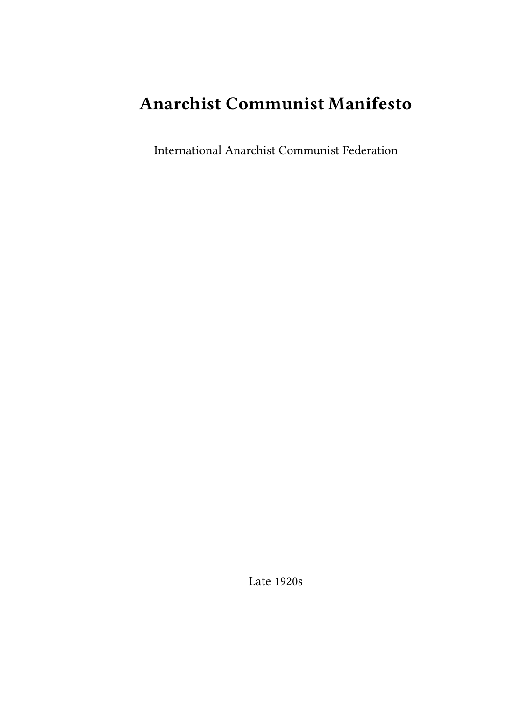# **Anarchist Communist Manifesto**

International Anarchist Communist Federation

Late 1920s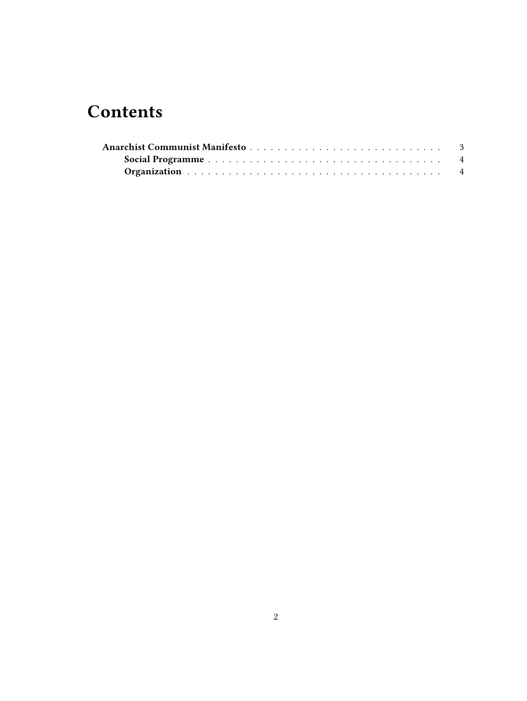## **Contents**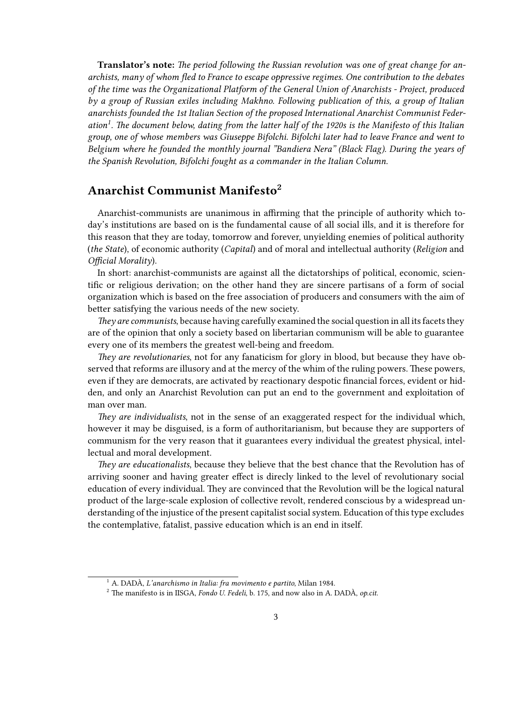**Translator's note:** *The period following the Russian revolution was one of great change for anarchists, many of whom fled to France to escape oppressive regimes. One contribution to the debates of the time was the Organizational Platform of the General Union of Anarchists - Project, produced by a group of Russian exiles including Makhno. Following publication of this, a group of Italian anarchists founded the 1st Italian Section of the proposed International Anarchist Communist Federation<sup>1</sup> . The document below, dating from the latter half of the 1920s is the Manifesto of this Italian group, one of whose members was Giuseppe Bifolchi. Bifolchi later had to leave France and went to Belgium where he founded the monthly journal "Bandiera Nera" (Black Flag). During the years of the Spanish Revolution, Bifolchi fought as a commander in the Italian Column.*

## <span id="page-2-0"></span>**Anarchist Communist Manifesto<sup>2</sup>**

Anarchist-communists are unanimous in affirming that the principle of authority which today's institutions are based on is the fundamental cause of all social ills, and it is therefore for this reason that they are today, tomorrow and forever, unyielding enemies of political authority (*the State*), of economic authority (*Capital*) and of moral and intellectual authority (*Religion* and *Official Morality*).

In short: anarchist-communists are against all the dictatorships of political, economic, scientific or religious derivation; on the other hand they are sincere partisans of a form of social organization which is based on the free association of producers and consumers with the aim of better satisfying the various needs of the new society.

*They are communists*, because having carefully examined the social question in all its facets they are of the opinion that only a society based on libertarian communism will be able to guarantee every one of its members the greatest well-being and freedom.

*They are revolutionaries*, not for any fanaticism for glory in blood, but because they have observed that reforms are illusory and at the mercy of the whim of the ruling powers. These powers, even if they are democrats, are activated by reactionary despotic financial forces, evident or hidden, and only an Anarchist Revolution can put an end to the government and exploitation of man over man.

*They are individualists*, not in the sense of an exaggerated respect for the individual which, however it may be disguised, is a form of authoritarianism, but because they are supporters of communism for the very reason that it guarantees every individual the greatest physical, intellectual and moral development.

*They are educationalists*, because they believe that the best chance that the Revolution has of arriving sooner and having greater effect is direcly linked to the level of revolutionary social education of every individual. They are convinced that the Revolution will be the logical natural product of the large-scale explosion of collective revolt, rendered conscious by a widespread understanding of the injustice of the present capitalist social system. Education of this type excludes the contemplative, fatalist, passive education which is an end in itself.

<sup>1</sup> A. DADÀ, *L'anarchismo in Italia: fra movimento e partito*, Milan 1984.

<sup>2</sup> The manifesto is in IISGA, *Fondo U. Fedeli*, b. 175, and now also in A. DADÀ, *op.cit*.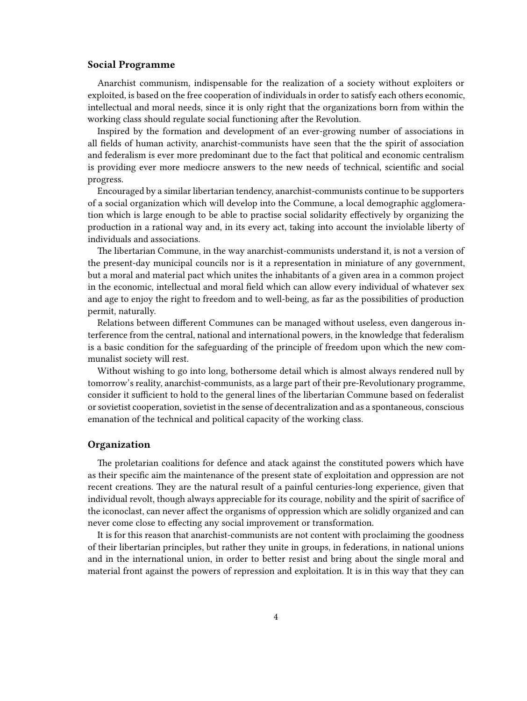### <span id="page-3-0"></span>**Social Programme**

Anarchist communism, indispensable for the realization of a society without exploiters or exploited, is based on the free cooperation of individuals in order to satisfy each others economic, intellectual and moral needs, since it is only right that the organizations born from within the working class should regulate social functioning after the Revolution.

Inspired by the formation and development of an ever-growing number of associations in all fields of human activity, anarchist-communists have seen that the the spirit of association and federalism is ever more predominant due to the fact that political and economic centralism is providing ever more mediocre answers to the new needs of technical, scientific and social progress.

Encouraged by a similar libertarian tendency, anarchist-communists continue to be supporters of a social organization which will develop into the Commune, a local demographic agglomeration which is large enough to be able to practise social solidarity effectively by organizing the production in a rational way and, in its every act, taking into account the inviolable liberty of individuals and associations.

The libertarian Commune, in the way anarchist-communists understand it, is not a version of the present-day municipal councils nor is it a representation in miniature of any government, but a moral and material pact which unites the inhabitants of a given area in a common project in the economic, intellectual and moral field which can allow every individual of whatever sex and age to enjoy the right to freedom and to well-being, as far as the possibilities of production permit, naturally.

Relations between different Communes can be managed without useless, even dangerous interference from the central, national and international powers, in the knowledge that federalism is a basic condition for the safeguarding of the principle of freedom upon which the new communalist society will rest.

Without wishing to go into long, bothersome detail which is almost always rendered null by tomorrow's reality, anarchist-communists, as a large part of their pre-Revolutionary programme, consider it sufficient to hold to the general lines of the libertarian Commune based on federalist or sovietist cooperation, sovietist in the sense of decentralization and as a spontaneous, conscious emanation of the technical and political capacity of the working class.

#### <span id="page-3-1"></span>**Organization**

The proletarian coalitions for defence and atack against the constituted powers which have as their specific aim the maintenance of the present state of exploitation and oppression are not recent creations. They are the natural result of a painful centuries-long experience, given that individual revolt, though always appreciable for its courage, nobility and the spirit of sacrifice of the iconoclast, can never affect the organisms of oppression which are solidly organized and can never come close to effecting any social improvement or transformation.

It is for this reason that anarchist-communists are not content with proclaiming the goodness of their libertarian principles, but rather they unite in groups, in federations, in national unions and in the international union, in order to better resist and bring about the single moral and material front against the powers of repression and exploitation. It is in this way that they can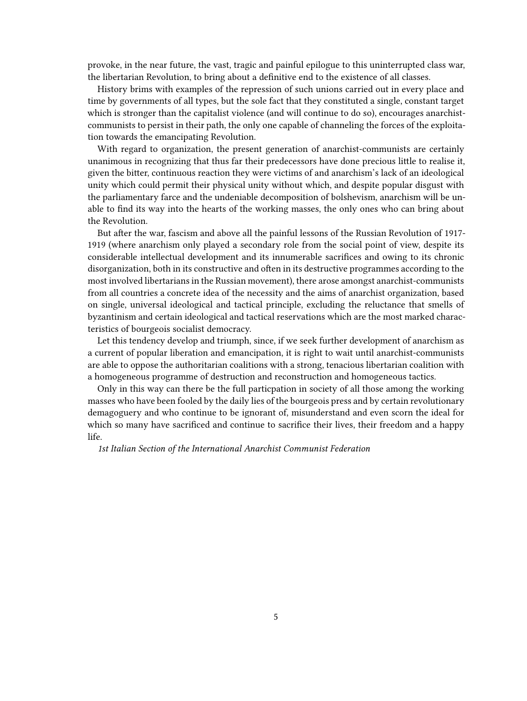provoke, in the near future, the vast, tragic and painful epilogue to this uninterrupted class war, the libertarian Revolution, to bring about a definitive end to the existence of all classes.

History brims with examples of the repression of such unions carried out in every place and time by governments of all types, but the sole fact that they constituted a single, constant target which is stronger than the capitalist violence (and will continue to do so), encourages anarchistcommunists to persist in their path, the only one capable of channeling the forces of the exploitation towards the emancipating Revolution.

With regard to organization, the present generation of anarchist-communists are certainly unanimous in recognizing that thus far their predecessors have done precious little to realise it, given the bitter, continuous reaction they were victims of and anarchism's lack of an ideological unity which could permit their physical unity without which, and despite popular disgust with the parliamentary farce and the undeniable decomposition of bolshevism, anarchism will be unable to find its way into the hearts of the working masses, the only ones who can bring about the Revolution.

But after the war, fascism and above all the painful lessons of the Russian Revolution of 1917- 1919 (where anarchism only played a secondary role from the social point of view, despite its considerable intellectual development and its innumerable sacrifices and owing to its chronic disorganization, both in its constructive and often in its destructive programmes according to the most involved libertarians in the Russian movement), there arose amongst anarchist-communists from all countries a concrete idea of the necessity and the aims of anarchist organization, based on single, universal ideological and tactical principle, excluding the reluctance that smells of byzantinism and certain ideological and tactical reservations which are the most marked characteristics of bourgeois socialist democracy.

Let this tendency develop and triumph, since, if we seek further development of anarchism as a current of popular liberation and emancipation, it is right to wait until anarchist-communists are able to oppose the authoritarian coalitions with a strong, tenacious libertarian coalition with a homogeneous programme of destruction and reconstruction and homogeneous tactics.

Only in this way can there be the full particpation in society of all those among the working masses who have been fooled by the daily lies of the bourgeois press and by certain revolutionary demagoguery and who continue to be ignorant of, misunderstand and even scorn the ideal for which so many have sacrificed and continue to sacrifice their lives, their freedom and a happy life.

*1st Italian Section of the International Anarchist Communist Federation*